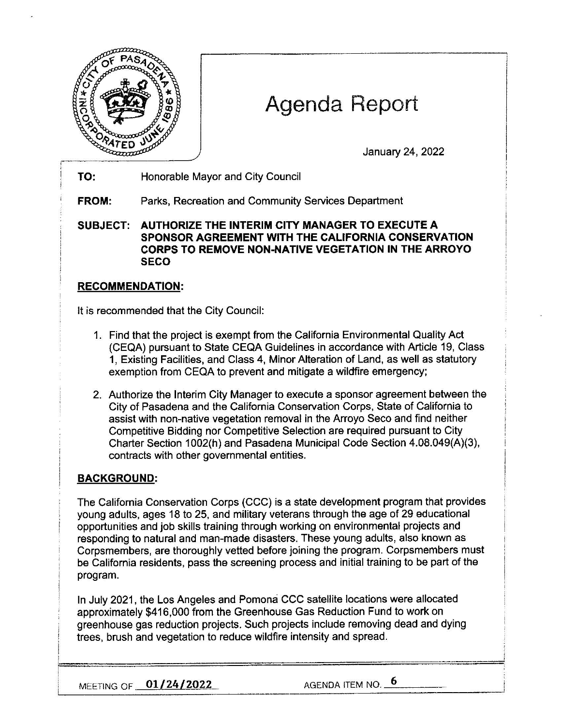

# Agenda Report

January 24, 2022

**TO:** Honorable Mayor and City Council

**FROM:** Parks, Recreation and Community Services Department

**SUBJECT: AUTHORIZE THE INTERIM CITY MANAGER TO EXECUTE A SPONSOR AGREEMENT WITH THE CALIFORNIA CONSERVATION CORPS TO REMOVE NON-NATIVE VEGETATION IN THE ARROYO SECO** 

## **RECOMMENDATION:**

It is recommended that the City Council:

- 1. Find that the project is exempt from the California Environmental Quality Act (CEQA) pursuant to State CEQA Guidelines in accordance with Article 19, Class 1, Existing Facilities, and Class 4, Minor Alteration of Land, as well as statutory exemption from CEQA to prevent and mitigate a wildfire emergency;
- 2. Authorize the Interim City Manager to execute a sponsor agreement between the City of Pasadena and the California Conservation Corps, State of California to assist with non-native vegetation removal in the Arroyo Seco and find neither Competitive Bidding nor Competitive Selection are required pursuant to City Charter Section 1002(h) and Pasadena Municipal Code Section 4.08.049(A)(3), contracts with other governmental entities.

## **BACKGROUND:**

The California Conservation Corps (CCC) is a state development program that provides young adults, ages 18 to 25, and military veterans through the age of 29 educational opportunities and job skills training through working on environmental projects and responding to natural and man-made disasters. These young adults, also known as Corpsmembers, are thoroughly vetted before joining the program. Corpsmembers must be California residents, pass the screening process and initial training to be part of the program.

In July 2021, the Los Angeles and Pomona CCC satellite locations were allocated approximately \$416,000 from the Greenhouse Gas Reduction Fund to work on greenhouse gas reduction projects. Such projects include removing dead and dying trees, brush and vegetation to reduce wildfire intensity and spread.

MEETING OF **01/24/2022** AGENDA ITEM NO. 6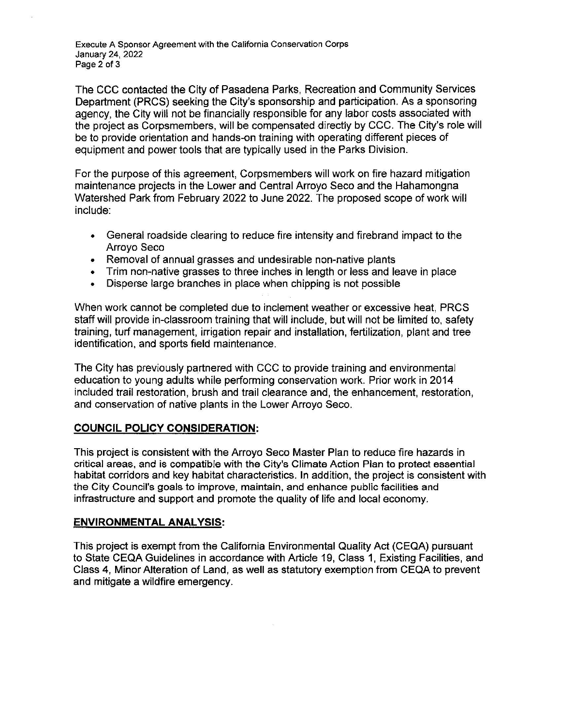Execute A Sponsor Agreement with the California Conservation Corps January 24, 2022 Page 2 of 3

The CCC contacted the City of Pasadena Parks, Recreation and Community Services Department (PRCS) seeking the City's sponsorship and participation. As a sponsoring agency, the City will not be financially responsible for any labor costs associated with the project as Corpsmembers, will be compensated directly by CCC. The City's role will be to provide orientation and hands-on training with operating different pieces of equipment and power tools that are typically used in the Parks Division.

For the purpose of this agreement, Corpsmembers will work on fire hazard mitigation maintenance projects in the Lower and Central Arroyo Seco and the Hahamongna Watershed Park from February 2022 to June 2022. The proposed scope of work will include:

- General roadside clearing to reduce fire intensity and firebrand impact to the Arroyo Seco
- Removal of annual grasses and undesirable non-native plants
- Trim non-native grasses to three inches in length or less and leave in place
- Disperse large branches in place when chipping is not possible

When work cannot be completed due to inclement weather or excessive heat, PRCS staff will provide in-classroom training that will include, but will not be limited to, safety training, turf management, irrigation repair and installation, fertilization, plant and tree identification, and sports field maintenance.

The City has previously partnered with CCC to provide training and environmental education to young adults while performing conservation work. Prior work in 2014 included trail restoration, brush and trail clearance and, the enhancement, restoration, and conservation of native plants in the Lower Arroyo Seco.

### **COUNCIL POLICY CONSIDERATION:**

This project is consistent with the Arroyo Seco Master Plan to reduce fire hazards in critical areas, and is compatible with the City's Climate Action Plan to protect essential habitat corridors and key habitat characteristics. In addition, the project is consistent with the City Council's goals to improve, maintain, and enhance public facilities and infrastructure and support and promote the quality of life and local economy.

### **ENVIRONMENTAL ANALYSIS:**

This project is exempt from the California Environmental Quality Act (CEQA) pursuant to State CEQA Guidelines in accordance with Article 19, Class 1, Existing Facilities, and Class 4, Minor Alteration of Land, as well as statutory exemption from CEQA to prevent and mitigate a wildfire emergency.